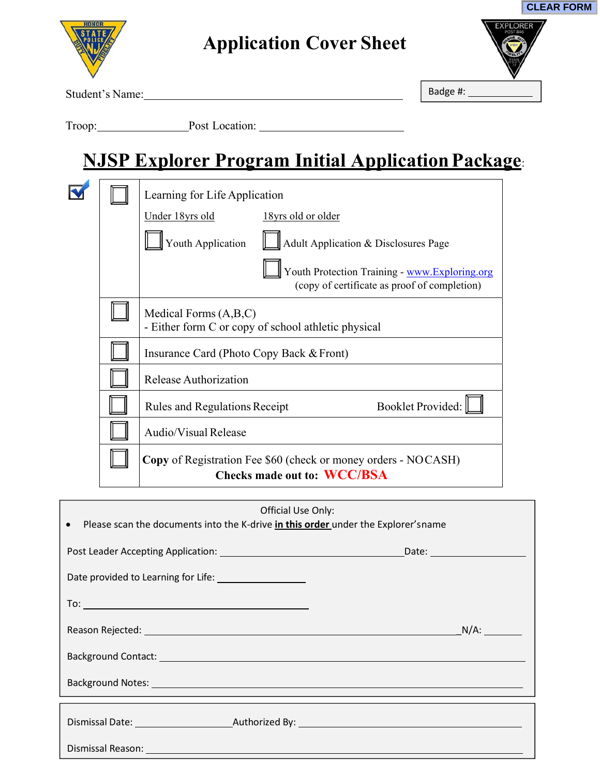| <b>EXPLORER</b><br><b>POST 846</b><br>JOR O |  |
|---------------------------------------------|--|
|                                             |  |
|                                             |  |
|                                             |  |

**CLEAR FORM**

Student's Name:

Badge #:

Troop: Post Location:

# **NJSP Explorer Program Initial Application Package**:

|  | Learning for Life Application                                                                        |  |  |  |
|--|------------------------------------------------------------------------------------------------------|--|--|--|
|  | Under 18yrs old<br>18yrs old or older                                                                |  |  |  |
|  | Youth Application<br>Adult Application & Disclosures Page                                            |  |  |  |
|  | Youth Protection Training - www.Exploring.org<br>(copy of certificate as proof of completion)        |  |  |  |
|  | Medical Forms $(A,B,C)$<br>- Either form C or copy of school athletic physical                       |  |  |  |
|  | Insurance Card (Photo Copy Back & Front)                                                             |  |  |  |
|  | Release Authorization                                                                                |  |  |  |
|  | <b>Booklet Provided:</b><br><b>Rules and Regulations Receipt</b>                                     |  |  |  |
|  | Audio/Visual Release                                                                                 |  |  |  |
|  | <b>Copy</b> of Registration Fee \$60 (check or money orders - NOCASH)<br>Checks made out to: WCC/BSA |  |  |  |

| Official Use Only:<br>• Please scan the documents into the K-drive in this order under the Explorer's name                                                                                                                     |  |  |  |  |
|--------------------------------------------------------------------------------------------------------------------------------------------------------------------------------------------------------------------------------|--|--|--|--|
|                                                                                                                                                                                                                                |  |  |  |  |
| Date provided to Learning for Life: ____________________                                                                                                                                                                       |  |  |  |  |
|                                                                                                                                                                                                                                |  |  |  |  |
| Reason Rejected: National Contract of the Contract of the Contract of the Contract of the Contract of the Contract of the Contract of the Contract of the Contract of the Contract of the Contract of the Contract of the Cont |  |  |  |  |
|                                                                                                                                                                                                                                |  |  |  |  |
|                                                                                                                                                                                                                                |  |  |  |  |
|                                                                                                                                                                                                                                |  |  |  |  |
| Dismissal Reason: National Accounts and Accounts and Accounts and Accounts and Accounts and Accounts and Accounts and Accounts and Accounts and Accounts and Accounts and Accounts and Accounts and Accounts and Accounts and  |  |  |  |  |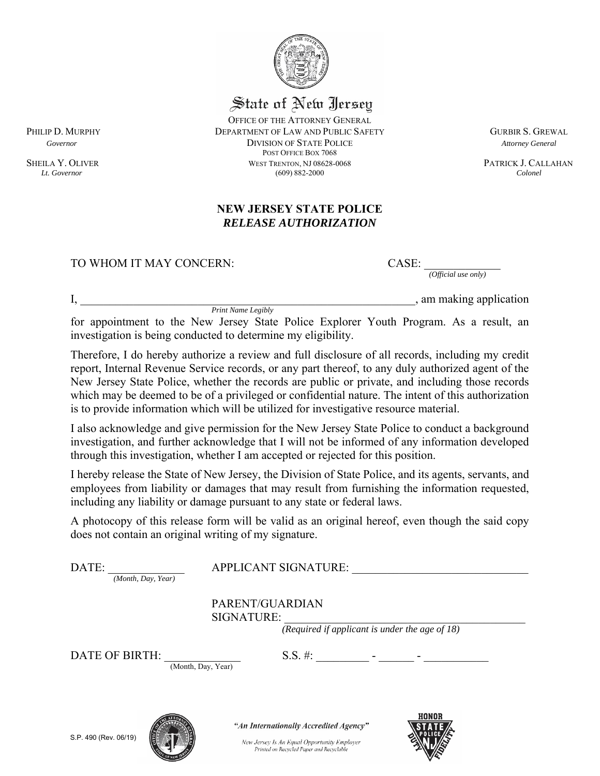

### State of New Ilersey

OFFICE OF THE ATTORNEY GENERAL PHILIP D. MURPHY **EXECUTE:** DEPARTMENT OF LAW AND PUBLIC SAFETY **GURBIR S. GREWAL**  *Governor* DIVISION OF STATE POLICE *Attorney General* POST OFFICE BOX 7068 SHEILA Y. OLIVER WEST TRENTON, NJ 08628-0068 PATRICK J. CALLAHAN Lt. Governor (609) 882-2000 PATRICK J. CALLAHAN *Lt. Governor* (609) 882-2000 *Colonel* 

#### **NEW JERSEY STATE POLICE**  *RELEASE AUTHORIZATION*

#### TO WHOM IT MAY CONCERN: CASE:

*(Official use only)* 

 $I$ , am making application

*Print Name Legibly*

for appointment to the New Jersey State Police Explorer Youth Program. As a result, an investigation is being conducted to determine my eligibility.

Therefore, I do hereby authorize a review and full disclosure of all records, including my credit report, Internal Revenue Service records, or any part thereof, to any duly authorized agent of the New Jersey State Police, whether the records are public or private, and including those records which may be deemed to be of a privileged or confidential nature. The intent of this authorization is to provide information which will be utilized for investigative resource material.

I also acknowledge and give permission for the New Jersey State Police to conduct a background investigation, and further acknowledge that I will not be informed of any information developed through this investigation, whether I am accepted or rejected for this position.

I hereby release the State of New Jersey, the Division of State Police, and its agents, servants, and employees from liability or damages that may result from furnishing the information requested, including any liability or damage pursuant to any state or federal laws.

A photocopy of this release form will be valid as an original hereof, even though the said copy does not contain an original writing of my signature.

| DATE:<br>(Month, Day, Year) | <b>APPLICANT SIGNATURE:</b>                                                             |  |
|-----------------------------|-----------------------------------------------------------------------------------------|--|
|                             | PARENT/GUARDIAN<br>SIGNATURE:                                                           |  |
|                             | (Required if applicant is under the age of $18$ )                                       |  |
| DATE OF BIRTH:              | $S.S. \#$ :<br>(Month, Day, Year)                                                       |  |
|                             | HONOR<br>"An Internationally Accredited Agency"                                         |  |
| S.P. 490 (Rev. 06/19)       | New Jersey Is An Equal Opportunity Employer<br>Printed on Recycled Paper and Recyclable |  |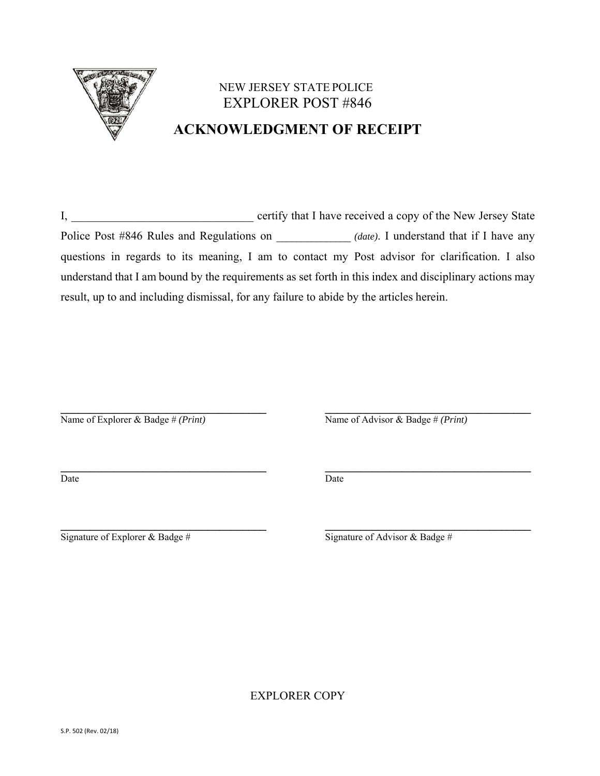

## NEW JERSEY STATE POLICE EXPLORER POST #846 **ACKNOWLEDGMENT OF RECEIPT**

I, certify that I have received a copy of the New Jersey State Police Post #846 Rules and Regulations on \_\_\_\_\_\_\_\_\_\_\_\_ *(date)*. I understand that if I have any questions in regards to its meaning, I am to contact my Post advisor for clarification. I also understand that I am bound by the requirements as set forth in this index and disciplinary actions may result, up to and including dismissal, for any failure to abide by the articles herein.

**\_\_\_\_\_\_\_\_\_\_\_\_\_\_\_\_\_\_\_\_\_\_\_\_\_\_\_\_\_\_\_\_\_\_\_ \_\_\_\_\_\_\_\_\_\_\_\_\_\_\_\_\_\_\_\_\_\_\_\_\_\_\_\_\_\_\_\_\_\_\_** 

**\_\_\_\_\_\_\_\_\_\_\_\_\_\_\_\_\_\_\_\_\_\_\_\_\_\_\_\_\_\_\_\_\_\_\_ \_\_\_\_\_\_\_\_\_\_\_\_\_\_\_\_\_\_\_\_\_\_\_\_\_\_\_\_\_\_\_\_\_\_\_** 

Name of Explorer & Badge # *(Print)* Name of Advisor & Badge # *(Print)*

Date Date Date

**\_\_\_\_\_\_\_\_\_\_\_\_\_\_\_\_\_\_\_\_\_\_\_\_\_\_\_\_\_\_\_\_\_\_\_ \_\_\_\_\_\_\_\_\_\_\_\_\_\_\_\_\_\_\_\_\_\_\_\_\_\_\_\_\_\_\_\_\_\_\_** Signature of Explorer & Badge  $\#$  Signature of Advisor & Badge  $\#$ 

EXPLORER COPY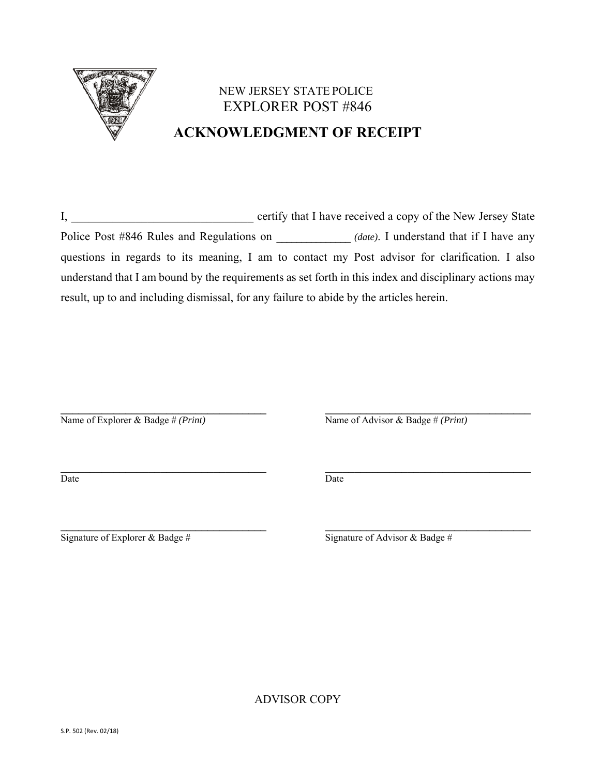

### NEW JERSEY STATE POLICE EXPLORER POST #846 **ACKNOWLEDGMENT OF RECEIPT**

I, certify that I have received a copy of the New Jersey State Police Post #846 Rules and Regulations on  $(date)$ . I understand that if I have any questions in regards to its meaning, I am to contact my Post advisor for clarification. I also understand that I am bound by the requirements as set forth in this index and disciplinary actions may result, up to and including dismissal, for any failure to abide by the articles herein.

**\_\_\_\_\_\_\_\_\_\_\_\_\_\_\_\_\_\_\_\_\_\_\_\_\_\_\_\_\_\_\_\_\_\_\_ \_\_\_\_\_\_\_\_\_\_\_\_\_\_\_\_\_\_\_\_\_\_\_\_\_\_\_\_\_\_\_\_\_\_\_**  Name of Explorer & Badge # *(Print)* Name of Advisor & Badge # *(Print)* 

Date Date Date

**\_\_\_\_\_\_\_\_\_\_\_\_\_\_\_\_\_\_\_\_\_\_\_\_\_\_\_\_\_\_\_\_\_\_\_ \_\_\_\_\_\_\_\_\_\_\_\_\_\_\_\_\_\_\_\_\_\_\_\_\_\_\_\_\_\_\_\_\_\_\_** 

**\_\_\_\_\_\_\_\_\_\_\_\_\_\_\_\_\_\_\_\_\_\_\_\_\_\_\_\_\_\_\_\_\_\_\_ \_\_\_\_\_\_\_\_\_\_\_\_\_\_\_\_\_\_\_\_\_\_\_\_\_\_\_\_\_\_\_\_\_\_\_**  Signature of Explorer & Badge #  $\overline{\text{Signature of Advisor } \& \text{Badge } \#}$ 

ADVISOR COPY